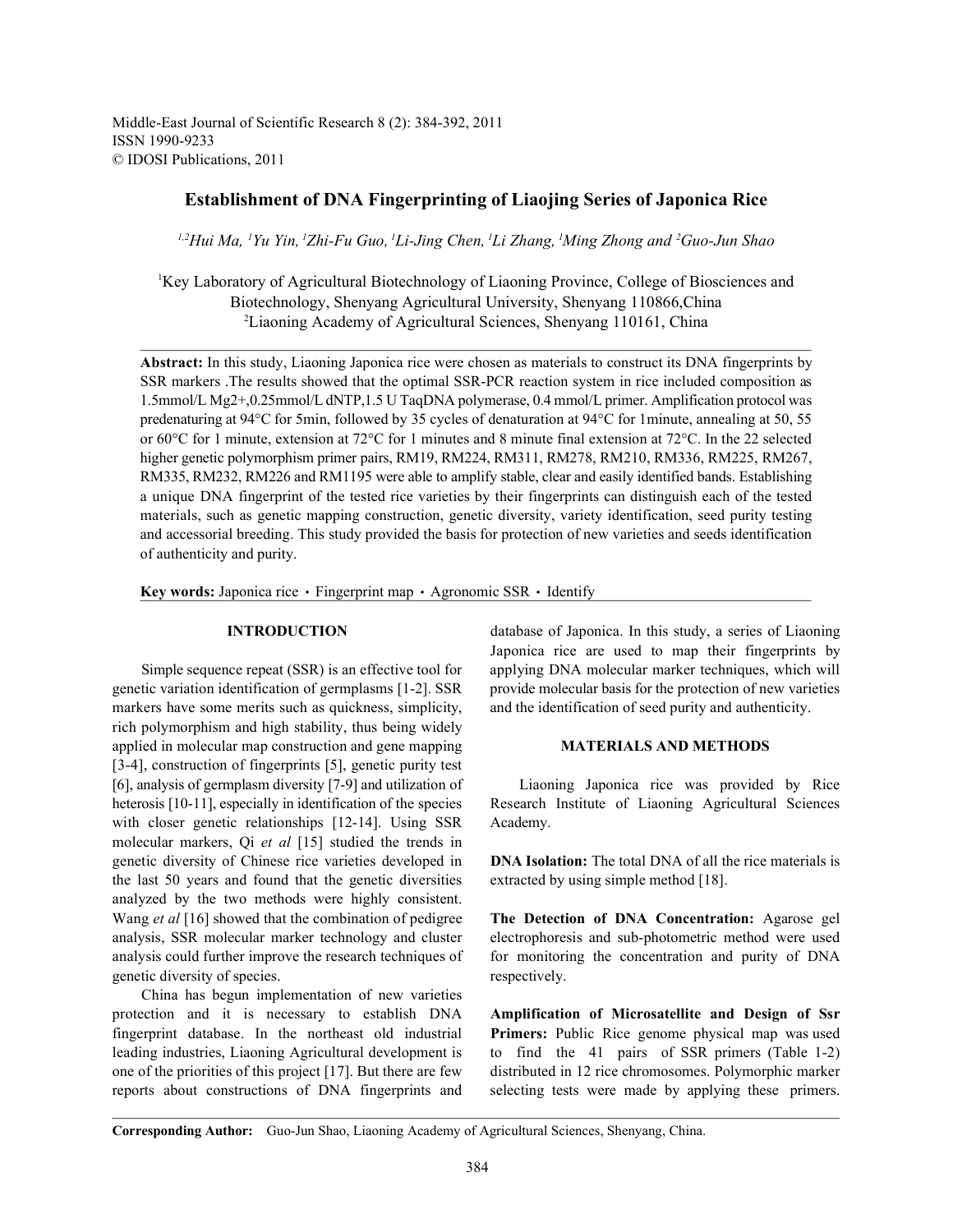Middle-East Journal of Scientific Research 8 (2): 384-392, 2011 ISSN 1990-9233 © IDOSI Publications, 2011

# **Establishment of DNA Fingerprinting of Liaojing Series of Japonica Rice**

*Hui Ma, Yu Yin, Zhi-Fu Guo, Li-Jing Chen, Li Zhang, Ming Zhong and Guo-Jun Shao 1,2 1 1 1 1 1 <sup>2</sup>*

<sup>1</sup>Key Laboratory of Agricultural Biotechnology of Liaoning Province, College of Biosciences and Biotechnology, Shenyang Agricultural University, Shenyang 110866,China Liaoning Academy of Agricultural Sciences, Shenyang 110161, China <sup>2</sup>

**Abstract:** In this study, Liaoning Japonica rice were chosen as materials to construct its DNA fingerprints by SSR markers .The results showed that the optimal SSR-PCR reaction system in rice included composition as 1.5mmol/L Mg2+,0.25mmol/L dNTP,1.5 U TaqDNA polymerase, 0.4 mmol/L primer. Amplification protocol was predenaturing at 94°C for 5min, followed by 35 cycles of denaturation at 94°C for 1minute, annealing at 50, 55 or 60°C for 1 minute, extension at 72°C for 1 minutes and 8 minute final extension at 72°C. In the 22 selected higher genetic polymorphism primer pairs, RM19, RM224, RM311, RM278, RM210, RM336, RM225, RM267, RM335, RM232, RM226 and RM1195 were able to amplify stable, clear and easily identified bands. Establishing a unique DNA fingerprint of the tested rice varieties by their fingerprints can distinguish each of the tested materials, such as genetic mapping construction, genetic diversity, variety identification, seed purity testing and accessorial breeding. This study provided the basis for protection of new varieties and seeds identification of authenticity and purity.

**Key words:** Japonica rice • Fingerprint map • Agronomic SSR • Identify

genetic variation identification of germplasms [1-2]. SSR provide molecular basis for the protection of new varieties markers have some merits such as quickness, simplicity, and the identification of seed purity and authenticity. rich polymorphism and high stability, thus being widely applied in molecular map construction and gene mapping **MATERIALS AND METHODS** [3-4], construction of fingerprints [5], genetic purity test [6], analysis of germplasm diversity [7-9] and utilization of Liaoning Japonica rice was provided by Rice heterosis [10-11], especially in identification of the species Research Institute of Liaoning Agricultural Sciences with closer genetic relationships [12-14]. Using SSR Academy. molecular markers, Qi *et al* [15] studied the trends in genetic diversity of Chinese rice varieties developed in **DNA Isolation:** The total DNA of all the rice materials is the last 50 years and found that the genetic diversities extracted by using simple method [18]. analyzed by the two methods were highly consistent. Wang *et al* [16] showed that the combination of pedigree **The Detection of DNA Concentration:** Agarose gel analysis, SSR molecular marker technology and cluster electrophoresis and sub-photometric method were used analysis could further improve the research techniques of for monitoring the concentration and purity of DNA genetic diversity of species. The respectively.

China has begun implementation of new varieties protection and it is necessary to establish DNA **Amplification of Microsatellite and Design of Ssr** fingerprint database. In the northeast old industrial **Primers:** Public Rice genome physical map was used leading industries, Liaoning Agricultural development is to find the 41 pairs of SSR primers (Table 1-2) one of the priorities of this project [17]. But there are few distributed in 12 rice chromosomes. Polymorphic marker reports about constructions of DNA fingerprints and selecting tests were made by applying these primers.

**INTRODUCTION** database of Japonica. In this study, a series of Liaoning Simple sequence repeat (SSR) is an effective tool for applying DNA molecular marker techniques, which will Japonica rice are used to map their fingerprints by

**Corresponding Author:** Guo-Jun Shao, Liaoning Academy of Agricultural Sciences, Shenyang, China.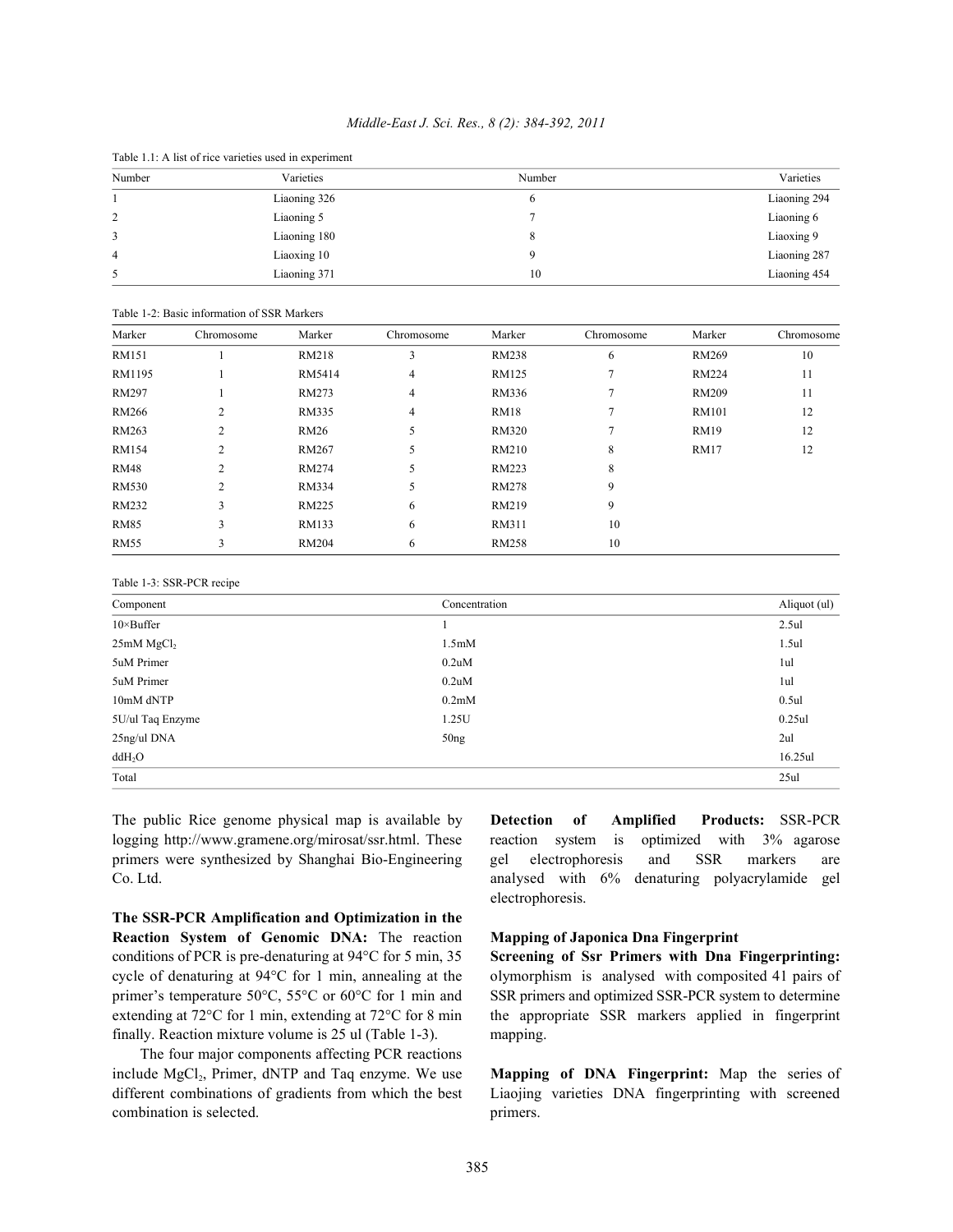### *Middle-East J. Sci. Res., 8 (2): 384-392, 2011*

| Number | Varieties    | Number | Varieties    |
|--------|--------------|--------|--------------|
|        |              |        |              |
|        | Liaoning 326 | o      | Liaoning 294 |
| 2      | Liaoning 5   |        | Liaoning 6   |
| 3      | Liaoning 180 | 8      | Liaoxing 9   |
| 4      | Liaoxing 10  |        | Liaoning 287 |
| 5      | Liaoning 371 | 10     | Liaoning 454 |

Table 1.1: A list of rice varieties used in experiment

|              | Table 1-2: Basic information of SSR Markers |              |            |              |            |              |            |  |  |  |  |  |  |  |  |
|--------------|---------------------------------------------|--------------|------------|--------------|------------|--------------|------------|--|--|--|--|--|--|--|--|
| Marker       | Chromosome                                  | Marker       | Chromosome | Marker       | Chromosome | Marker       | Chromosome |  |  |  |  |  |  |  |  |
| RM151        |                                             | RM218        | 3          | <b>RM238</b> | 6          | <b>RM269</b> | 10         |  |  |  |  |  |  |  |  |
| RM1195       |                                             | RM5414       | 4          | RM125        | 7          | <b>RM224</b> | 11         |  |  |  |  |  |  |  |  |
| <b>RM297</b> |                                             | RM273        | 4          | RM336        | 7          | <b>RM209</b> | 11         |  |  |  |  |  |  |  |  |
| RM266        | $\overline{2}$                              | <b>RM335</b> | 4          | <b>RM18</b>  | 7          | <b>RM101</b> | 12         |  |  |  |  |  |  |  |  |
| RM263        | 2                                           | <b>RM26</b>  | 5          | <b>RM320</b> | 7          | <b>RM19</b>  | 12         |  |  |  |  |  |  |  |  |
| <b>RM154</b> | $\overline{2}$                              | <b>RM267</b> | 5          | RM210        | 8          | <b>RM17</b>  | 12         |  |  |  |  |  |  |  |  |
| <b>RM48</b>  | $\overline{2}$                              | <b>RM274</b> | 5          | <b>RM223</b> | 8          |              |            |  |  |  |  |  |  |  |  |
| <b>RM530</b> | $\overline{2}$                              | RM334        | 5          | <b>RM278</b> | 9          |              |            |  |  |  |  |  |  |  |  |
| RM232        | 3                                           | <b>RM225</b> | 6          | RM219        | 9          |              |            |  |  |  |  |  |  |  |  |
| <b>RM85</b>  | 3                                           | RM133        | 6          | RM311        | 10         |              |            |  |  |  |  |  |  |  |  |
| <b>RM55</b>  | 3                                           | <b>RM204</b> | 6          | <b>RM258</b> | 10         |              |            |  |  |  |  |  |  |  |  |

| Table 1-3: SSR-PCR recipe |  |  |  |  |  |
|---------------------------|--|--|--|--|--|
|---------------------------|--|--|--|--|--|

| Component              | Concentration      | Aliquot (ul) |
|------------------------|--------------------|--------------|
| $10 \times$ Buffer     |                    | 2.5ul        |
| 25mM MgCl <sub>2</sub> | 1.5 <sub>m</sub> M | 1.5ul        |
| 5uM Primer             | 0.2uM              | 1ul          |
| 5uM Primer             | 0.2uM              | 1ul          |
| 10mM dNTP              | 0.2 <sub>m</sub> M | 0.5ul        |
| 5U/ul Taq Enzyme       | 1.25U              | $0.25$ ul    |
| 25ng/ul DNA            | 50 <sub>ng</sub>   | 2ul          |
| ddH <sub>2</sub> O     |                    | 16.25ul      |
| Total                  |                    | 25ul         |

logging http://www.gramene.org/mirosat/ssr.html. These reaction system is optimized with 3% agarose primers were synthesized by Shanghai Bio-Engineering gel electrophoresis and SSR markers are Co. Ltd. analysed with 6% denaturing polyacrylamide gel

**The SSR-PCR Amplification and Optimization in the Reaction System of Genomic DNA:** The reaction **Mapping of Japonica Dna Fingerprint** conditions of PCR is pre-denaturing at 94°C for 5 min, 35 **Screening of Ssr Primers with Dna Fingerprinting:** cycle of denaturing at 94°C for 1 min, annealing at the olymorphism is analysed with composited 41 pairs of primer's temperature 50°C, 55°C or 60°C for 1 min and SSR primers and optimized SSR-PCR system to determine extending at 72°C for 1 min, extending at 72°C for 8 min the appropriate SSR markers applied in fingerprint finally. Reaction mixture volume is 25 ul (Table 1-3). mapping.

The four major components affecting PCR reactions include MgCl<sub>2</sub>, Primer, dNTP and Taq enzyme. We use **Mapping of DNA Fingerprint:** Map the series of combination is selected. primers.

The public Rice genome physical map is available by **Detection of Amplified Products:** SSR-PCR electrophoresis.

different combinations of gradients from which the best Liaojing varieties DNA fingerprinting with screened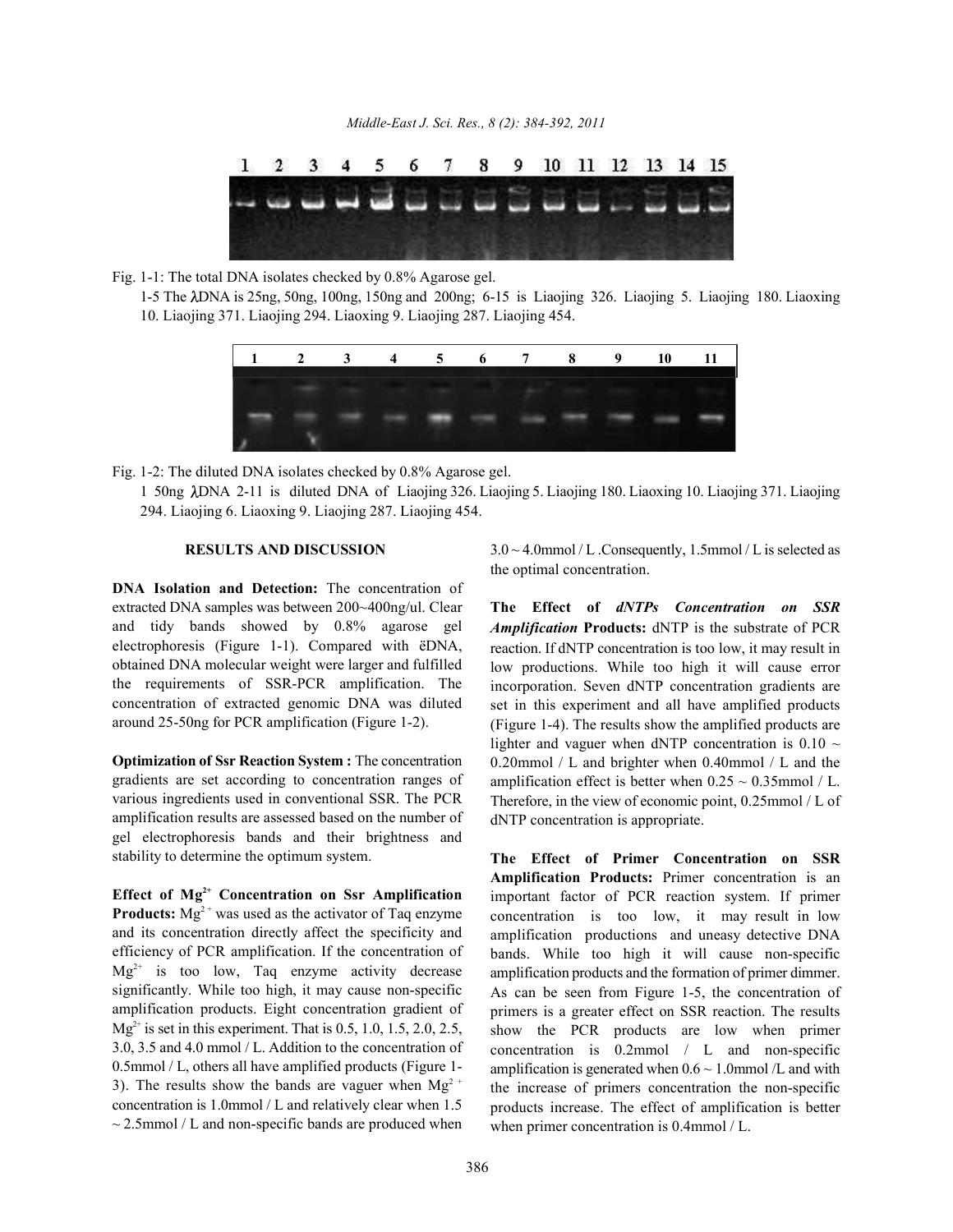

Fig. 1-1: The total DNA isolates checked by 0.8% Agarose gel.

1-5 The DNA is 25ng, 50ng, 100ng, 150ng and 200ng; 6-15 is Liaojing 326. Liaojing 5. Liaojing 180. Liaoxing 10. Liaojing 371. Liaojing 294. Liaoxing 9. Liaojing 287. Liaojing 454.



Fig. 1-2: The diluted DNA isolates checked by 0.8% Agarose gel.

1 50ng DNA 2-11 is diluted DNA of Liaojing 326. Liaojing 5. Liaojing 180. Liaoxing 10. Liaojing 371. Liaojing 294. Liaojing 6. Liaoxing 9. Liaojing 287. Liaojing 454.

**DNA Isolation and Detection:** The concentration of extracted DNA samples was between 200~400ng/ul. Clear **The Effect of** *dNTPs Concentration on SSR* and tidy bands showed by 0.8% agarose gel electrophoresis (Figure 1-1). Compared with ëDNA, obtained DNA molecular weight were larger and fulfilled the requirements of SSR-PCR amplification. The concentration of extracted genomic DNA was diluted around 25-50ng for PCR amplification (Figure 1-2).

**Optimization of Ssr Reaction System :** The concentration gradients are set according to concentration ranges of various ingredients used in conventional SSR. The PCR amplification results are assessed based on the number of gel electrophoresis bands and their brightness and stability to determine the optimum system.

Effect of  $Mg^{2+}$  Concentration on Ssr Amplification **Products:**  $Mg^{2+}$  was used as the activator of Taq enzyme and its concentration directly affect the specificity and efficiency of PCR amplification. If the concentration of  $Mg^{2+}$  is too low, Taq enzyme activity decrease significantly. While too high, it may cause non-specific amplification products. Eight concentration gradient of  $Mg^{2+}$  is set in this experiment. That is 0.5, 1.0, 1.5, 2.0, 2.5, 3.0, 3.5 and 4.0 mmol / L. Addition to the concentration of 0.5mmol / L, others all have amplified products (Figure 1- 3). The results show the bands are vaguer when  $Mg<sup>2+</sup>$ concentration is 1.0mmol / L and relatively clear when 1.5  $\sim$  2.5mmol / L and non-specific bands are produced when

**RESULTS AND DISCUSSION** 3.0 ~ 4.0mmol / L .Consequently, 1.5mmol / L is selected as the optimal concentration.

> *Amplification* **Products:** dNTP is the substrate of PCR reaction. If dNTP concentration is too low, it may result in low productions. While too high it will cause error incorporation. Seven dNTP concentration gradients are set in this experiment and all have amplified products (Figure 1-4). The results show the amplified products are lighter and vaguer when dNTP concentration is  $0.10 \sim$ 0.20mmol / L and brighter when 0.40mmol / L and the amplification effect is better when  $0.25 \sim 0.35$ mmol / L. Therefore, in the view of economic point, 0.25mmol / L of dNTP concentration is appropriate.

> **The Effect of Primer Concentration on SSR Amplification Products:** Primer concentration is an important factor of PCR reaction system. If primer concentration is too low, it may result in low amplification productions and uneasy detective DNA bands. While too high it will cause non-specific amplification products and the formation of primer dimmer. As can be seen from Figure 1-5, the concentration of primers is a greater effect on SSR reaction. The results show the PCR products are low when primer concentration is 0.2mmol / L and non-specific amplification is generated when  $0.6 \sim 1.0$ mmol /L and with the increase of primers concentration the non-specific products increase. The effect of amplification is better when primer concentration is 0.4mmol / L.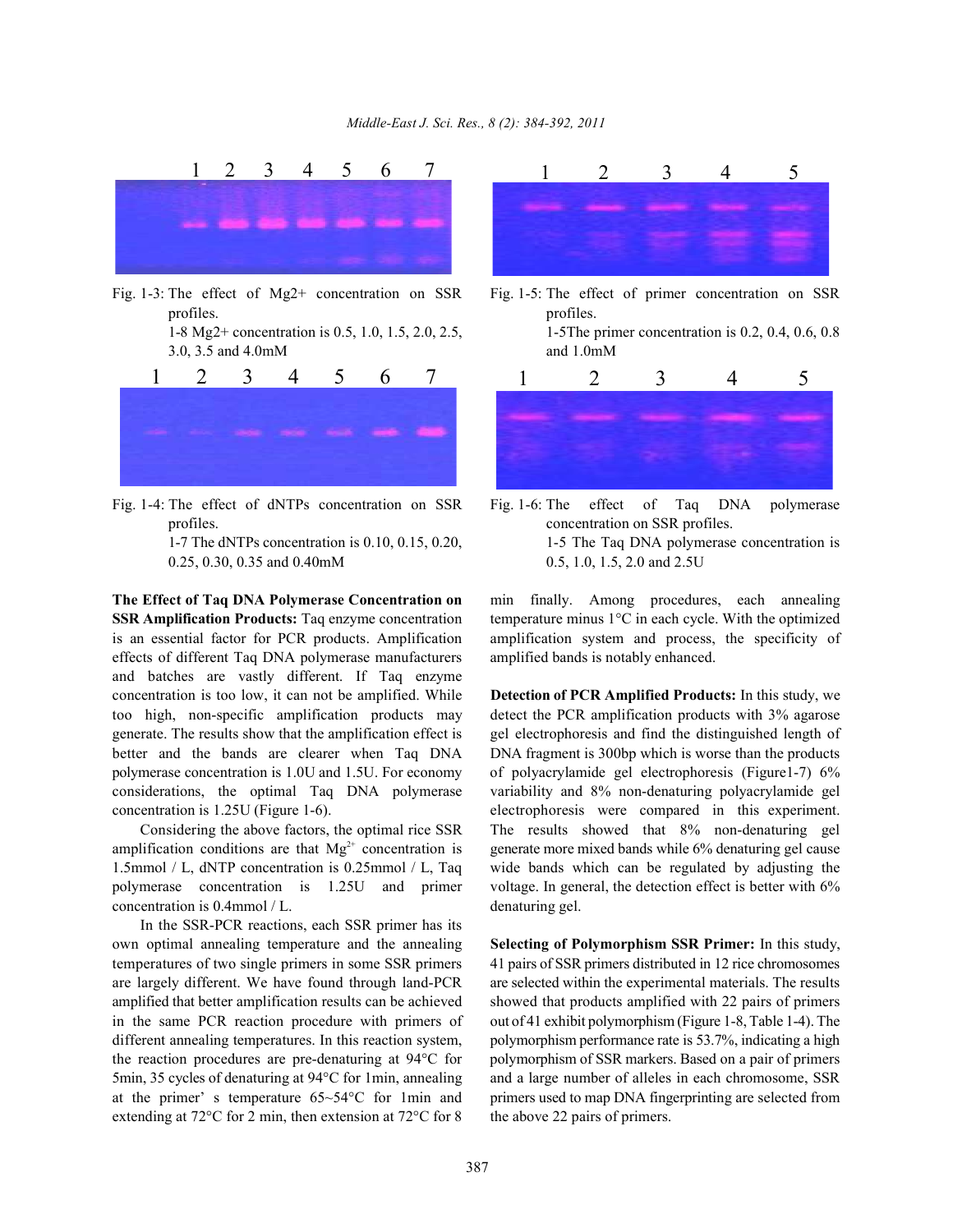

Fig. 1-3: The effect of Mg2+ concentration on SSR Fig. 1-5: The effect of primer concentration on SSR profiles. **profiles** 

1-8 Mg2+ concentration is 0.5, 1.0, 1.5, 2.0, 2.5, 1-5The primer concentration is 0.2, 0.4, 0.6, 0.8 3.0, 3.5 and 4.0mM and 1.0mM



Fig. 1-4: The effect of dNTPs concentration on SSR Fig. 1-6: The effect of Taq DNA polymerase profiles. concentration on SSR profiles.

0.25, 0.30, 0.35 and 0.40mM 0.5, 1.0, 1.5, 2.0 and 2.5U

**SSR Amplification Products:** Taq enzyme concentration temperature minus 1<sup>o</sup>C in each cycle. With the optimized is an essential factor for PCR products. Amplification amplification system and process, the specificity of effects of different Taq DNA polymerase manufacturers amplified bands is notably enhanced. and batches are vastly different. If Taq enzyme concentration is too low, it can not be amplified. While **Detection of PCR Amplified Products:** In this study, we too high, non-specific amplification products may detect the PCR amplification products with 3% agarose generate. The results show that the amplification effect is gel electrophoresis and find the distinguished length of better and the bands are clearer when Taq DNA DNA fragment is 300bp which is worse than the products polymerase concentration is 1.0U and 1.5U. For economy of polyacrylamide gel electrophoresis (Figure1-7) 6% considerations, the optimal Taq DNA polymerase variability and 8% non-denaturing polyacrylamide gel concentration is 1.25U (Figure 1-6). electrophoresis were compared in this experiment.

amplification conditions are that  $Mg^{2+}$  concentration is generate more mixed bands while 6% denaturing gel cause 1.5mmol / L, dNTP concentration is 0.25mmol / L, Taq wide bands which can be regulated by adjusting the polymerase concentration is 1.25U and primer voltage. In general, the detection effect is better with 6% concentration is 0.4mmol / L. denaturing gel.

In the SSR-PCR reactions, each SSR primer has its own optimal annealing temperature and the annealing **Selecting of Polymorphism SSR Primer:** In this study, temperatures of two single primers in some SSR primers 41 pairs of SSR primers distributed in 12 rice chromosomes are largely different. We have found through land-PCR are selected within the experimental materials. The results amplified that better amplification results can be achieved showed that products amplified with 22 pairs of primers in the same PCR reaction procedure with primers of out of 41 exhibit polymorphism (Figure 1-8, Table 1-4). The different annealing temperatures. In this reaction system, polymorphism performance rate is 53.7%, indicating a high the reaction procedures are pre-denaturing at 94°C for polymorphism of SSR markers. Based on a pair of primers 5min, 35 cycles of denaturing at 94°C for 1min, annealing and a large number of alleles in each chromosome, SSR at the primer' s temperature 65~54°C for 1min and primers used to map DNA fingerprinting are selected from extending at  $72^{\circ}$ C for 2 min, then extension at  $72^{\circ}$ C for 8 the above 22 pairs of primers.





1-7 The dNTPs concentration is 0.10, 0.15, 0.20, 1-5 The Taq DNA polymerase concentration is

**The Effect of Taq DNA Polymerase Concentration on** min finally. Among procedures, each annealing

Considering the above factors, the optimal rice SSR The results showed that 8% non-denaturing gel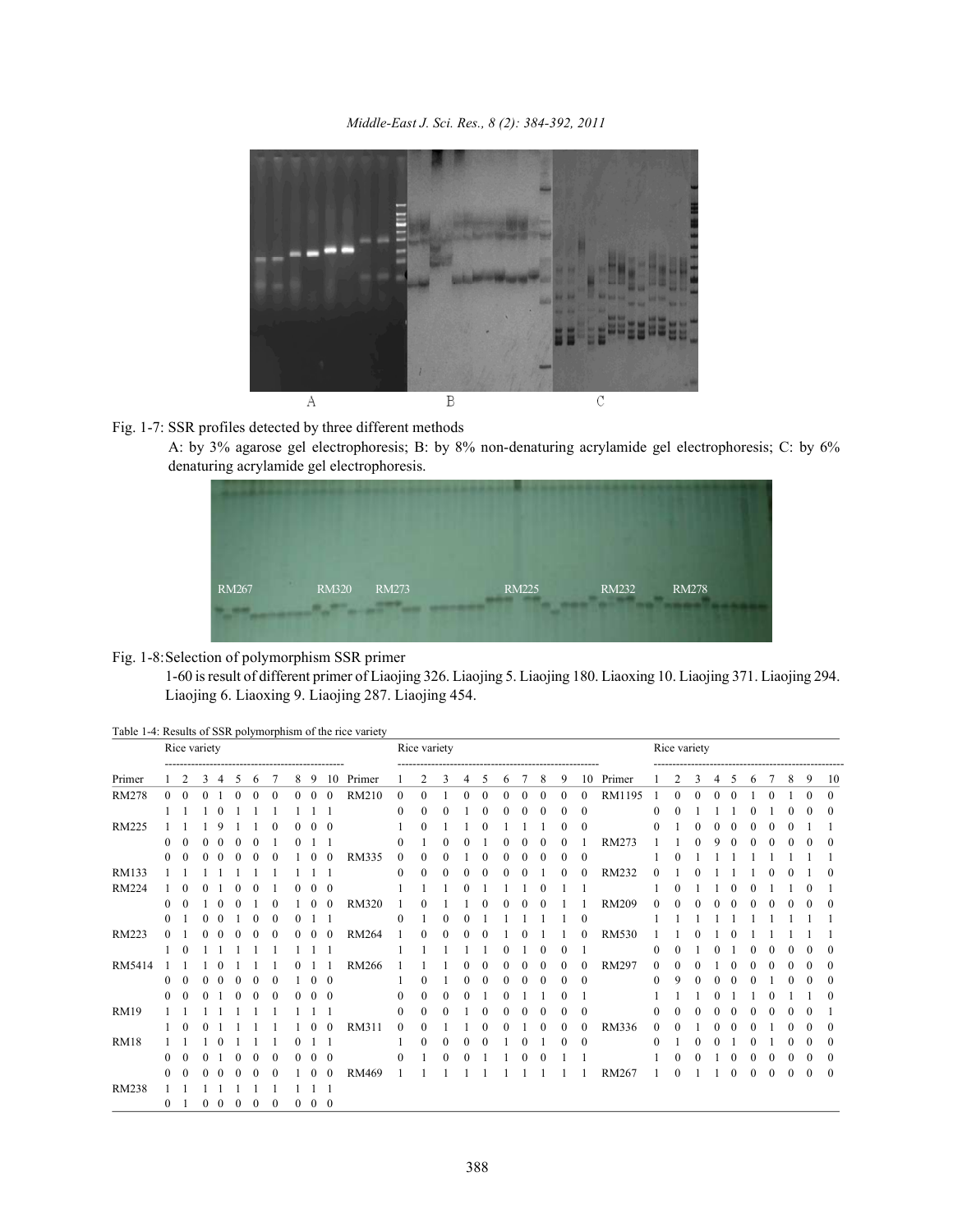

## Fig. 1-7: SSR profiles detected by three different methods

A: by 3% agarose gel electrophoresis; B: by 8% non-denaturing acrylamide gel electrophoresis; C: by 6% denaturing acrylamide gel electrophoresis.



## Fig. 1-8:Selection of polymorphism SSR primer

1-60 is result of different primer of Liaojing 326. Liaojing 5. Liaojing 180. Liaoxing 10. Liaojing 371. Liaojing 294. Liaojing 6. Liaoxing 9. Liaojing 287. Liaojing 454.

|  | Table 1-4: Results of SSR polymorphism of the rice variety |  |
|--|------------------------------------------------------------|--|
|  |                                                            |  |

| Rice variety<br>-------------------------- |              |          |          |          |              | Rice variety |          |                |                |                |              |                  |              |              |              | Rice variety                          |          |   |              |              |                  |              |                  |          |          |   |          |   |   |   |          |              |
|--------------------------------------------|--------------|----------|----------|----------|--------------|--------------|----------|----------------|----------------|----------------|--------------|------------------|--------------|--------------|--------------|---------------------------------------|----------|---|--------------|--------------|------------------|--------------|------------------|----------|----------|---|----------|---|---|---|----------|--------------|
| Primer                                     |              | 2        | 3        | 4        | 5            | 6            | 7        | 8              | 9              | 10             | Primer       |                  | 2            | 3            | 4            | --------------------------------<br>5 | 6        | 7 | 8            | 9            | 10               | Primer       |                  | 2        | 3        | 4 | 5        | 6 |   | 8 | 9        | 10           |
| RM278                                      | $\Omega$     | $\Omega$ | $\Omega$ |          | $\theta$     | $\Omega$     | $\theta$ | $\overline{0}$ | $\overline{0}$ | $\overline{0}$ | <b>RM210</b> | $\overline{0}$   | $\mathbf{0}$ |              | $\mathbf{0}$ | $\mathbf{0}$                          | $\Omega$ | 0 | $\bf{0}$     | $\mathbf{0}$ | $\mathbf{0}$     | RM1195       |                  | $\theta$ | $\Omega$ |   | $\theta$ |   | 0 |   | $\theta$ | $\mathbf{0}$ |
|                                            |              |          |          |          |              |              |          |                |                |                |              | $\mathbf{0}$     | 0            | $\theta$     |              | $\mathbf{0}$                          |          | 0 | $\mathbf{0}$ | $\bf{0}$     | $\mathbf{0}$     |              | $\theta$         |          |          |   |          |   |   |   | $^{(1)}$ | $\mathbf{0}$ |
| <b>RM225</b>                               |              |          |          |          |              |              |          | 0              | $\bf{0}$       | $\bf{0}$       |              |                  | 0            |              |              |                                       |          |   |              | 0            | $\boldsymbol{0}$ |              | $\mathbf{0}$     |          |          |   |          |   |   |   |          |              |
|                                            | $^{(1)}$     |          |          |          | 0            |              |          | 0              |                |                |              | $\mathbf{0}$     |              |              |              |                                       |          |   |              |              |                  | RM273        |                  |          |          |   |          |   |   |   |          | $\mathbf{0}$ |
|                                            | 0            |          |          |          |              |              |          |                |                |                | <b>RM335</b> | $\mathbf{0}$     | 0            |              |              |                                       |          |   |              |              | $\boldsymbol{0}$ |              |                  |          |          |   |          |   |   |   |          |              |
| RM133                                      |              |          |          |          |              |              |          |                |                |                |              | $\mathbf{0}$     |              |              |              |                                       |          |   |              |              |                  | RM232        |                  |          |          |   |          |   |   |   |          | $\Omega$     |
| RM224                                      |              |          |          |          |              |              |          |                | $\theta$       | $\bf{0}$       |              |                  |              |              |              |                                       |          |   |              |              |                  |              |                  |          |          |   |          |   |   |   |          |              |
|                                            | $^{(1)}$     |          |          |          |              |              |          |                |                | $\theta$       | <b>RM320</b> |                  |              |              |              |                                       |          |   |              |              |                  | <b>RM209</b> | $\Omega$         |          |          |   |          |   |   |   |          | $\mathbf{0}$ |
|                                            | $^{(1)}$     |          |          |          |              |              | $\theta$ |                |                |                |              | $\boldsymbol{0}$ |              |              |              |                                       |          |   |              |              | $\theta$         |              |                  |          |          |   |          |   |   |   |          |              |
| RM223                                      |              |          |          |          |              |              |          | 0              |                | $\theta$       | <b>RM264</b> |                  |              |              |              |                                       |          |   |              |              |                  | <b>RM530</b> |                  |          |          |   |          |   |   |   |          |              |
|                                            |              |          |          |          |              |              |          |                |                |                |              |                  |              |              |              |                                       |          |   |              |              |                  |              | 0                |          |          |   |          |   |   |   |          | $\theta$     |
| RM5414                                     |              |          |          |          |              |              |          |                |                |                | <b>RM266</b> |                  |              |              |              |                                       |          |   |              |              | $\theta$         | <b>RM297</b> | $\mathbf{0}$     |          |          |   |          |   |   |   |          | $\mathbf{0}$ |
|                                            | $\mathbf{0}$ | $\theta$ |          |          | 0            | $\theta$     | $\theta$ |                | $\theta$       | $\bf{0}$       |              |                  | 0            |              | 0            | 0                                     |          |   | $\mathbf{0}$ | $^{(1)}$     | $\bf{0}$         |              | $\boldsymbol{0}$ |          |          |   |          |   |   |   |          | $\mathbf{0}$ |
|                                            | $\mathbf{0}$ | $\theta$ |          |          | 0            |              |          | 0              | $\Omega$       | $\theta$       |              | $\mathbf{0}$     | 0            | $\mathbf{0}$ |              |                                       |          |   |              |              |                  |              |                  |          |          |   |          |   |   |   |          | $\mathbf{0}$ |
| <b>RM19</b>                                |              |          |          |          |              |              |          |                |                |                |              | $\mathbf{0}$     | $\theta$     | $\mathbf{0}$ |              | $\boldsymbol{0}$                      |          |   | 0            | 0            | $\mathbf{0}$     |              | $\theta$         |          |          |   |          |   |   |   |          |              |
|                                            |              |          |          |          |              |              |          |                |                | $\mathbf{0}$   | RM311        | $\mathbf{0}$     | 0            |              |              |                                       |          |   |              |              | $\boldsymbol{0}$ | RM336        | 0                |          |          |   |          |   |   |   |          | $\theta$     |
| <b>RM18</b>                                |              |          |          |          |              |              |          | 0              |                |                |              |                  | 0            | 0            |              |                                       |          |   |              | 0            | $\mathbf{0}$     |              | $\theta$         |          |          |   |          |   |   |   | $\Omega$ | $\bf{0}$     |
|                                            | $\bf{0}$     |          |          |          | 0            |              | 0        | 0              | $\bf{0}$       | $\bf{0}$       |              | $\mathbf{0}$     |              | $\theta$     |              |                                       |          |   |              |              |                  |              |                  |          |          |   |          | 0 |   |   |          | $\mathbf{0}$ |
|                                            | $^{\circ}$   |          |          |          |              |              |          |                |                |                | RM469        |                  |              |              |              |                                       |          |   |              |              |                  | RM267        |                  |          |          |   | $\theta$ | 0 | 0 |   | $\theta$ | $\mathbf{0}$ |
| <b>RM238</b>                               |              |          |          |          |              |              |          |                |                |                |              |                  |              |              |              |                                       |          |   |              |              |                  |              |                  |          |          |   |          |   |   |   |          |              |
|                                            | $\bf{0}$     |          | 0        | $\theta$ | $\mathbf{0}$ | $\theta$     | $\theta$ | $\mathbf{0}$   | $\bf{0}$       | $\bf{0}$       |              |                  |              |              |              |                                       |          |   |              |              |                  |              |                  |          |          |   |          |   |   |   |          |              |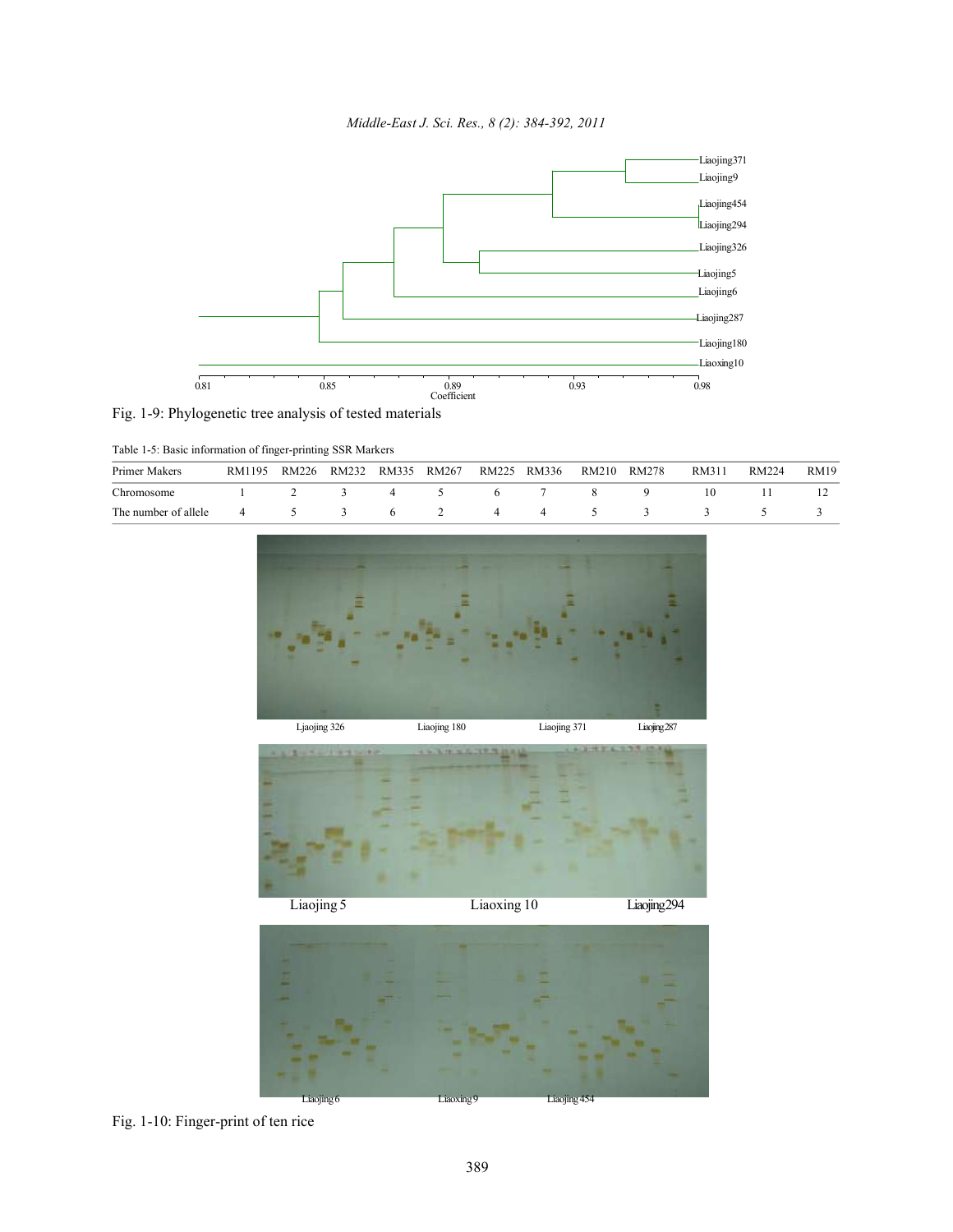*Middle-East J. Sci. Res., 8 (2): 384-392, 2011*





| Table 1-5: Basic information of finger-printing SSR Markers |  |  |
|-------------------------------------------------------------|--|--|
|-------------------------------------------------------------|--|--|

| Primer Makers        | RM1195 | RM226 | RM232 | RM335 | RM267 | RM225 | RM336 | RM210 | RM278 | RM311 | RM224 | RM19 |
|----------------------|--------|-------|-------|-------|-------|-------|-------|-------|-------|-------|-------|------|
| Chromosome           |        |       |       |       |       |       |       |       |       |       |       |      |
| The number of allele | 4      |       |       |       |       | 4     | 4     |       |       |       |       |      |



Liaojing6 Liaoxing9 Liaojing454

Fig. 1-10: Finger-print of ten rice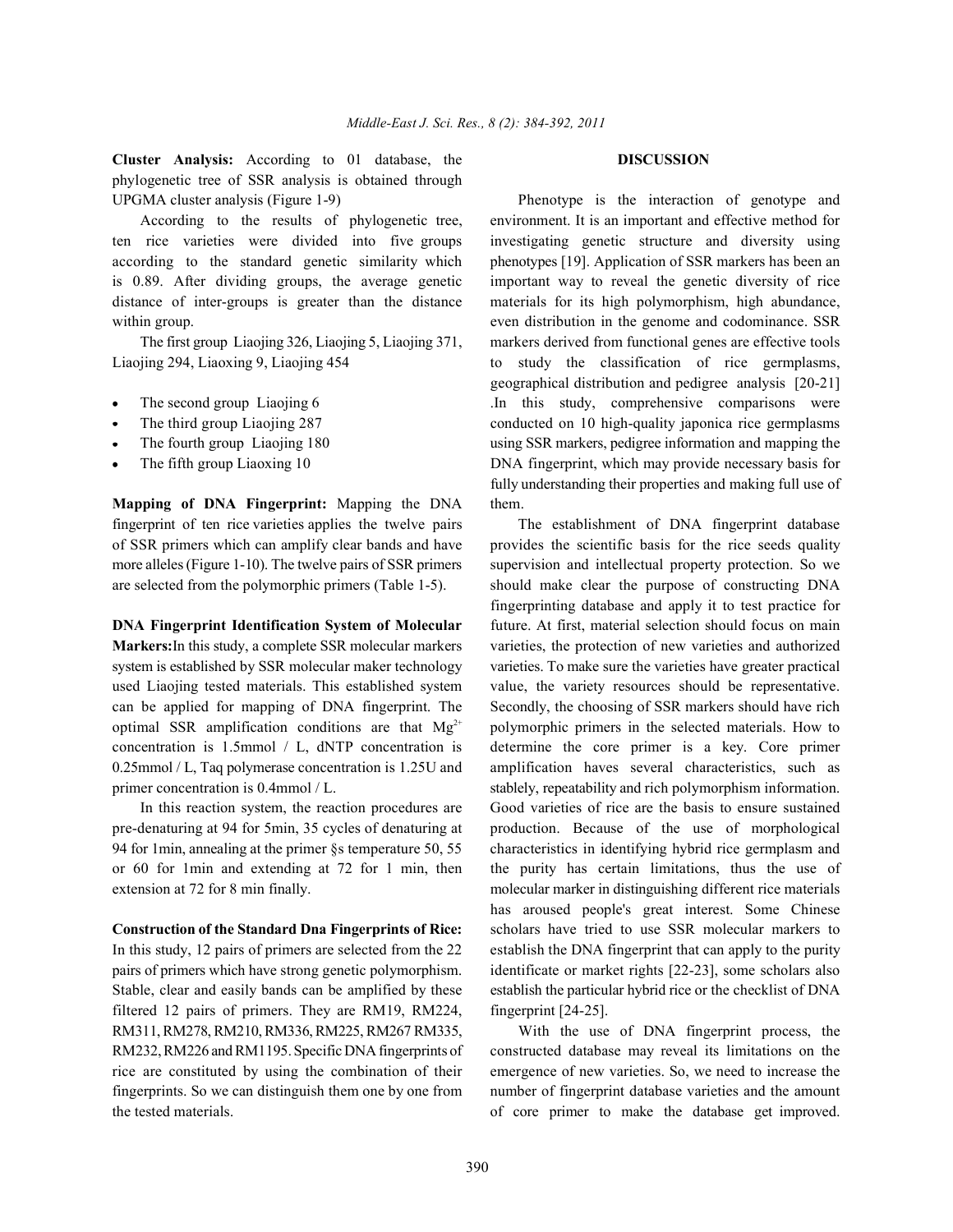**Cluster Analysis:** According to 01 database, the **DISCUSSION** phylogenetic tree of SSR analysis is obtained through UPGMA cluster analysis (Figure 1-9) Phenotype is the interaction of genotype and

ten rice varieties were divided into five groups investigating genetic structure and diversity using according to the standard genetic similarity which phenotypes [19]. Application of SSR markers has been an is 0.89. After dividing groups, the average genetic important way to reveal the genetic diversity of rice distance of inter-groups is greater than the distance materials for its high polymorphism, high abundance, within group. **even** distribution in the genome and codominance. SSR

Liaojing 294, Liaoxing 9, Liaojing 454 to study the classification of rice germplasms,

- 
- 
- 
- 

**Mapping of DNA Fingerprint:** Mapping the DNA them. fingerprint of ten rice varieties applies the twelve pairs The establishment of DNA fingerprint database of SSR primers which can amplify clear bands and have provides the scientific basis for the rice seeds quality more alleles (Figure 1-10). The twelve pairs of SSR primers supervision and intellectual property protection. So we are selected from the polymorphic primers (Table 1-5). should make clear the purpose of constructing DNA

**Markers:**In this study, a complete SSR molecular markers varieties, the protection of new varieties and authorized system is established by SSR molecular maker technology varieties. To make sure the varieties have greater practical used Liaojing tested materials. This established system value, the variety resources should be representative. can be applied for mapping of DNA fingerprint. The Secondly, the choosing of SSR markers should have rich optimal SSR amplification conditions are that  $Mg^{2+}$  polymorphic primers in the selected materials. How to concentration is 1.5mmol / L, dNTP concentration is determine the core primer is a key. Core primer 0.25mmol / L, Taq polymerase concentration is 1.25U and amplification haves several characteristics, such as primer concentration is 0.4mmol / L. stablely, repeatability and rich polymorphism information.

pre-denaturing at 94 for 5min, 35 cycles of denaturing at production. Because of the use of morphological 94 for 1min, annealing at the primer §s temperature 50, 55 characteristics in identifying hybrid rice germplasm and

pairs of primers which have strong genetic polymorphism. identificate or market rights [22-23], some scholars also Stable, clear and easily bands can be amplified by these establish the particular hybrid rice or the checklist of DNA filtered 12 pairs of primers. They are RM19, RM224, fingerprint [24-25]. RM311, RM278, RM210, RM336, RM225, RM267 RM335, With the use of DNA fingerprint process, the

According to the results of phylogenetic tree, environment. It is an important and effective method for The first group Liaojing 326, Liaojing 5, Liaojing 371, markers derived from functional genes are effective tools The second group Liaojing 6 . In this study, comprehensive comparisons were The third group Liaojing 287 conducted on 10 high-quality japonica rice germplasms The fourth group Liaojing 180 using SSR markers, pedigree information and mapping the The fifth group Liaoxing 10 DNA fingerprint, which may provide necessary basis for geographical distribution and pedigree analysis [20-21] fully understanding their properties and making full use of

**DNA Fingerprint Identification System of Molecular** future. At first, material selection should focus on main In this reaction system, the reaction procedures are Good varieties of rice are the basis to ensure sustained or 60 for 1min and extending at 72 for 1 min, then the purity has certain limitations, thus the use of extension at 72 for 8 min finally. molecular marker in distinguishing different rice materials **Construction of the Standard Dna Fingerprints of Rice:** scholars have tried to use SSR molecular markers to In this study, 12 pairs of primers are selected from the 22 establish the DNA fingerprint that can apply to the purity fingerprinting database and apply it to test practice for has aroused people's great interest. Some Chinese

RM232, RM226 and RM1195. Specific DNA fingerprints of constructed database may reveal its limitations on the rice are constituted by using the combination of their emergence of new varieties. So, we need to increase the fingerprints. So we can distinguish them one by one from number of fingerprint database varieties and the amount the tested materials. of core primer to make the database get improved.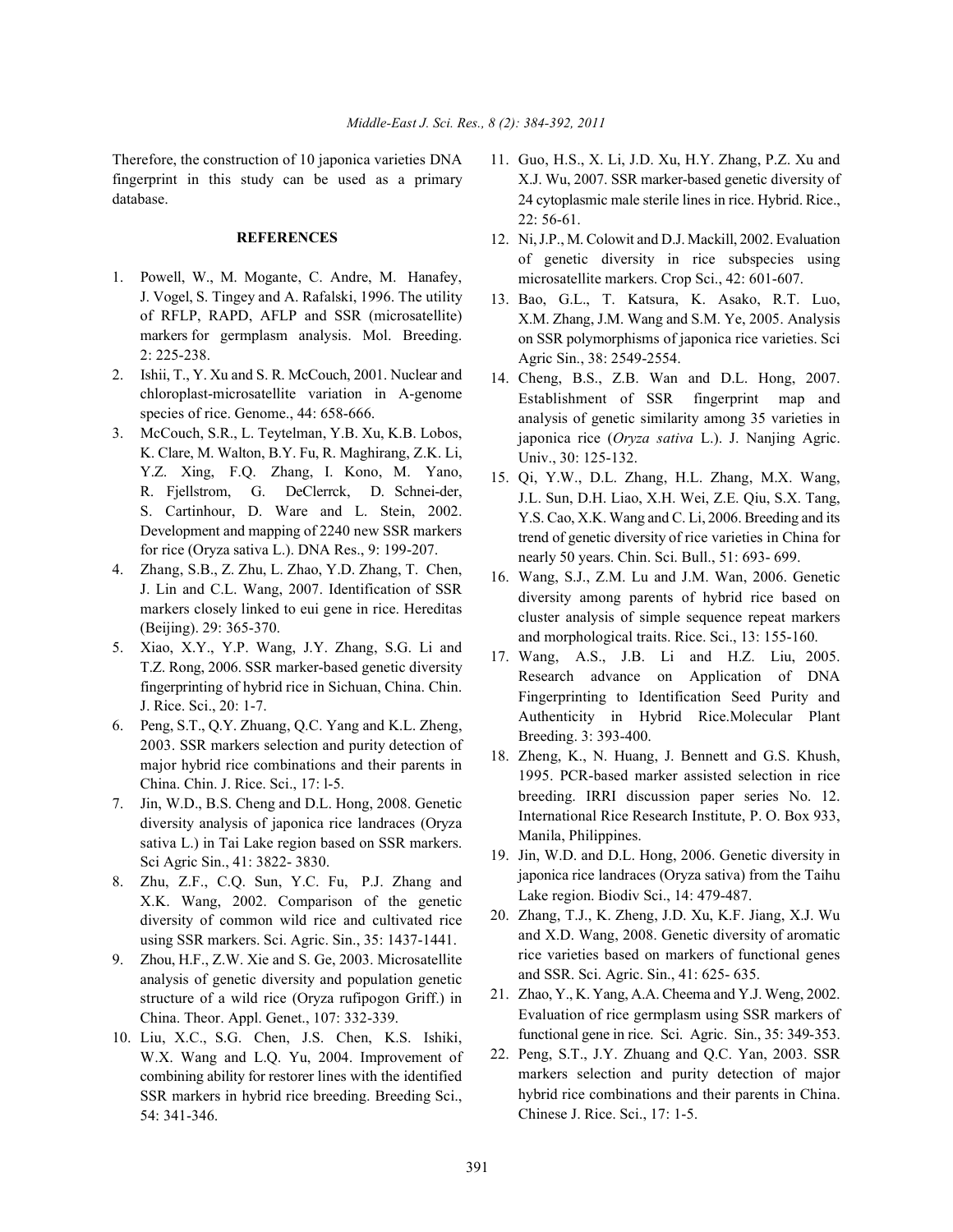fingerprint in this study can be used as a primary database.

### **REFERENCES**

- 1. Powell, W., M. Mogante, C. Andre, M. Hanafey, J. Vogel, S. Tingey and A. Rafalski, 1996. The utility of RFLP, RAPD, AFLP and SSR (microsatellite) markers for germplasm analysis. Mol. Breeding. 2: 225-238.
- 2. Ishii, T., Y. Xu and S. R. McCouch, 2001. Nuclear and chloroplast-microsatellite variation in A-genome species of rice. Genome., 44: 658-666.
- 3. McCouch, S.R., L. Teytelman, Y.B. Xu, K.B. Lobos, K. Clare, M. Walton, B.Y. Fu, R. Maghirang, Z.K. Li, Y.Z. Xing, F.Q. Zhang, I. Kono, M. Yano, R. Fjellstrom, G. DeClerrck, D. Schnei-der, S. Cartinhour, D. Ware and L. Stein, 2002. Development and mapping of 2240 new SSR markers for rice (Oryza sativa L.). DNA Res., 9: 199-207.
- 4. Zhang, S.B., Z. Zhu, L. Zhao, Y.D. Zhang, T. Chen, J. Lin and C.L. Wang, 2007. Identification of SSR markers closely linked to eui gene in rice. Hereditas (Beijing). 29: 365-370.
- 5. Xiao, X.Y., Y.P. Wang, J.Y. Zhang, S.G. Li and T.Z. Rong, 2006. SSR marker-based genetic diversity fingerprinting of hybrid rice in Sichuan, China. Chin. J. Rice. Sci., 20: 1-7.
- 6. Peng, S.T., Q.Y. Zhuang, Q.C. Yang and K.L. Zheng, 2003. SSR markers selection and purity detection of major hybrid rice combinations and their parents in China. Chin. J. Rice. Sci., 17: l-5.
- 7. Jin, W.D., B.S. Cheng and D.L. Hong, 2008. Genetic diversity analysis of japonica rice landraces (Oryza sativa L.) in Tai Lake region based on SSR markers. Sci Agric Sin., 41: 3822- 3830.
- 8. Zhu, Z.F., C.Q. Sun, Y.C. Fu, P.J. Zhang and X.K. Wang, 2002. Comparison of the genetic diversity of common wild rice and cultivated rice using SSR markers. Sci. Agric. Sin., 35: 1437-1441.
- 9. Zhou, H.F., Z.W. Xie and S. Ge, 2003. Microsatellite analysis of genetic diversity and population genetic structure of a wild rice (Oryza rufipogon Griff.) in China. Theor. Appl. Genet., 107: 332-339.
- 10. Liu, X.C., S.G. Chen, J.S. Chen, K.S. Ishiki, W.X. Wang and L.Q. Yu, 2004. Improvement of combining ability for restorer lines with the identified SSR markers in hybrid rice breeding. Breeding Sci., 54: 341-346.
- Therefore, the construction of 10 japonica varieties DNA 11. Guo, H.S., X. Li, J.D. Xu, H.Y. Zhang, P.Z. Xu and X.J. Wu, 2007. SSR marker-based genetic diversity of 24 cytoplasmic male sterile lines in rice. Hybrid. Rice., 22: 56-61.
	- 12. Ni, J.P., M. Colowit and D.J. Mackill, 2002. Evaluation of genetic diversity in rice subspecies using microsatellite markers. Crop Sci., 42: 601-607.
	- 13. Bao, G.L., T. Katsura, K. Asako, R.T. Luo, X.M. Zhang, J.M. Wang and S.M. Ye, 2005. Analysis on SSR polymorphisms of japonica rice varieties. Sci Agric Sin., 38: 2549-2554.
	- 14. Cheng, B.S., Z.B. Wan and D.L. Hong, 2007. Establishment of SSR fingerprint map and analysis of genetic similarity among 35 varieties in japonica rice (*Oryza sativa* L.). J. Nanjing Agric. Univ., 30: 125-132.
	- 15. Qi, Y.W., D.L. Zhang, H.L. Zhang, M.X. Wang, J.L. Sun, D.H. Liao, X.H. Wei, Z.E. Qiu, S.X. Tang, Y.S. Cao, X.K. Wang and C. Li, 2006. Breeding and its trend of genetic diversity of rice varieties in China for nearly 50 years. Chin. Sci. Bull., 51: 693- 699.
	- 16. Wang, S.J., Z.M. Lu and J.M. Wan, 2006. Genetic diversity among parents of hybrid rice based on cluster analysis of simple sequence repeat markers and morphological traits. Rice. Sci., 13: 155-160.
	- 17. Wang, A.S., J.B. Li and H.Z. Liu, 2005. Research advance on Application of DNA Fingerprinting to Identification Seed Purity and Authenticity in Hybrid Rice.Molecular Plant Breeding. 3: 393-400.
	- 18. Zheng, K., N. Huang, J. Bennett and G.S. Khush, 1995. PCR-based marker assisted selection in rice breeding. IRRI discussion paper series No. 12. International Rice Research Institute, P. O. Box 933, Manila, Philippines.
	- 19. Jin, W.D. and D.L. Hong, 2006. Genetic diversity in japonica rice landraces (Oryza sativa) from the Taihu Lake region. Biodiv Sci., 14: 479-487.
	- 20. Zhang, T.J., K. Zheng, J.D. Xu, K.F. Jiang, X.J. Wu and X.D. Wang, 2008. Genetic diversity of aromatic rice varieties based on markers of functional genes and SSR. Sci. Agric. Sin., 41: 625- 635.
	- 21. Zhao, Y., K. Yang, A.A. Cheema and Y.J. Weng, 2002. Evaluation of rice germplasm using SSR markers of functional gene in rice. Sci. Agric. Sin., 35: 349-353.
	- 22. Peng, S.T., J.Y. Zhuang and Q.C. Yan, 2003. SSR markers selection and purity detection of major hybrid rice combinations and their parents in China. Chinese J. Rice. Sci., 17: 1-5.